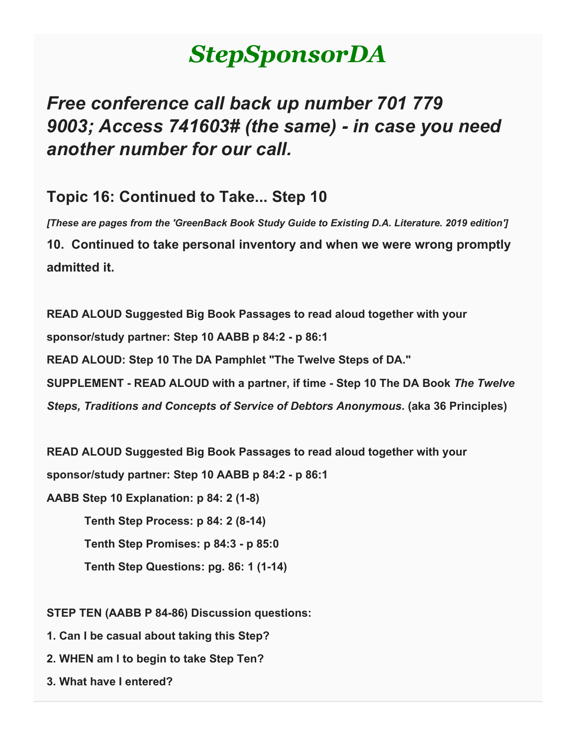# *StepSponsorDA*

## *Free conference call back up number 701 779 9003; Access 741603# (the same) - in case you need another number for our call.*

### **Topic 16: Continued to Take... Step 10**

*[These are pages from the 'GreenBack Book Study Guide to Existing D.A. Literature. 2019 edition']* **10. Continued to take personal inventory and when we were wrong promptly admitted it.**

**READ ALOUD Suggested Big Book Passages to read aloud together with your sponsor/study partner: Step 10 AABB p 84:2 - p 86:1 READ ALOUD: Step 10 The DA Pamphlet "The Twelve Steps of DA." SUPPLEMENT - READ ALOUD with a partner, if time - Step 10 The DA Book** *The Twelve Steps, Traditions and Concepts of Service of Debtors Anonymous***. (aka 36 Principles)**

**READ ALOUD Suggested Big Book Passages to read aloud together with your** 

**sponsor/study partner: Step 10 AABB p 84:2 - p 86:1**

**AABB Step 10 Explanation: p 84: 2 (1-8)**

 **Tenth Step Process: p 84: 2 (8-14)**

 **Tenth Step Promises: p 84:3 - p 85:0**

 **Tenth Step Questions: pg. 86: 1 (1-14)**

**STEP TEN (AABB P 84-86) Discussion questions:**

- **1. Can I be casual about taking this Step?**
- **2. WHEN am I to begin to take Step Ten?**
- **3. What have I entered?**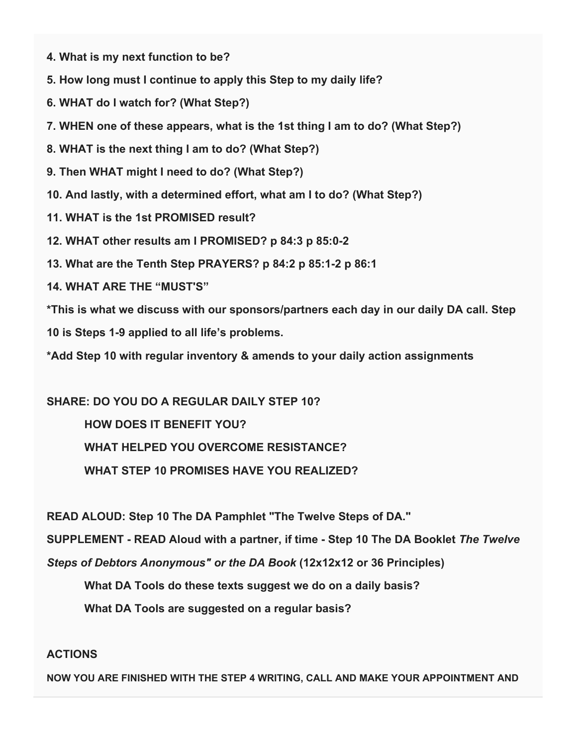- **4. What is my next function to be?**
- **5. How long must I continue to apply this Step to my daily life?**
- **6. WHAT do I watch for? (What Step?)**
- **7. WHEN one of these appears, what is the 1st thing I am to do? (What Step?)**
- **8. WHAT is the next thing I am to do? (What Step?)**
- **9. Then WHAT might I need to do? (What Step?)**
- **10. And lastly, with a determined effort, what am I to do? (What Step?)**
- **11. WHAT is the 1st PROMISED result?**
- **12. WHAT other results am I PROMISED? p 84:3 p 85:0-2**
- **13. What are the Tenth Step PRAYERS? p 84:2 p 85:1-2 p 86:1**
- **14. WHAT ARE THE "MUST'S"**
- **\*This is what we discuss with our sponsors/partners each day in our daily DA call. Step**
- **10 is Steps 1-9 applied to all life's problems.**

**\*Add Step 10 with regular inventory & amends to your daily action assignments**

#### **SHARE: DO YOU DO A REGULAR DAILY STEP 10?**

 **HOW DOES IT BENEFIT YOU? WHAT HELPED YOU OVERCOME RESISTANCE? WHAT STEP 10 PROMISES HAVE YOU REALIZED?**

**READ ALOUD: Step 10 The DA Pamphlet "The Twelve Steps of DA."**

**SUPPLEMENT - READ Aloud with a partner, if time - Step 10 The DA Booklet** *The Twelve* 

*Steps of Debtors Anonymous" or the DA Book* **(12x12x12 or 36 Principles)**

 **What DA Tools do these texts suggest we do on a daily basis?**

 **What DA Tools are suggested on a regular basis?**

#### **ACTIONS**

**NOW YOU ARE FINISHED WITH THE STEP 4 WRITING, CALL AND MAKE YOUR APPOINTMENT AND**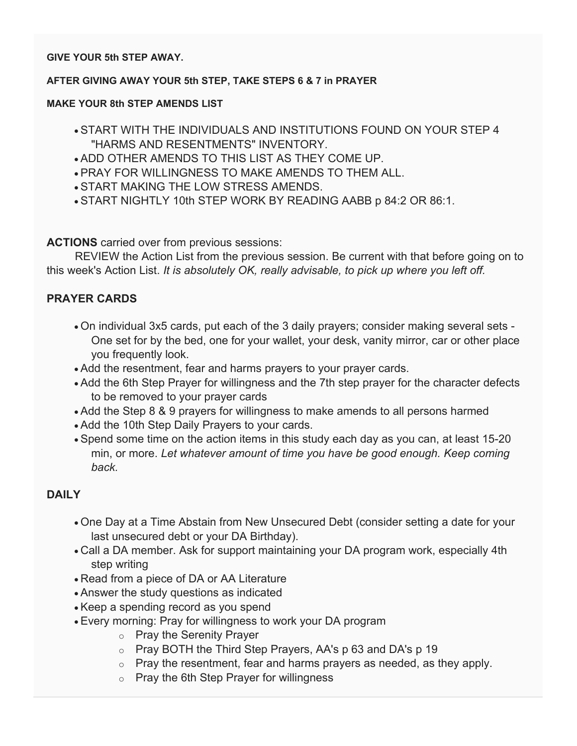#### **GIVE YOUR 5th STEP AWAY.**

#### **AFTER GIVING AWAY YOUR 5th STEP, TAKE STEPS 6 & 7 in PRAYER**

#### **MAKE YOUR 8th STEP AMENDS LIST**

- START WITH THE INDIVIDUALS AND INSTITUTIONS FOUND ON YOUR STEP 4 "HARMS AND RESENTMENTS" INVENTORY.
- ADD OTHER AMENDS TO THIS LIST AS THEY COME UP.
- PRAY FOR WILLINGNESS TO MAKE AMENDS TO THEM ALL.
- START MAKING THE LOW STRESS AMENDS.
- START NIGHTLY 10th STEP WORK BY READING AABB p 84:2 OR 86:1.

**ACTIONS** carried over from previous sessions:

 REVIEW the Action List from the previous session. Be current with that before going on to this week's Action List. *It is absolutely OK, really advisable, to pick up where you left off.*

#### **PRAYER CARDS**

- On individual 3x5 cards, put each of the 3 daily prayers; consider making several sets One set for by the bed, one for your wallet, your desk, vanity mirror, car or other place you frequently look.
- Add the resentment, fear and harms prayers to your prayer cards.
- Add the 6th Step Prayer for willingness and the 7th step prayer for the character defects to be removed to your prayer cards
- Add the Step 8 & 9 prayers for willingness to make amends to all persons harmed
- Add the 10th Step Daily Prayers to your cards.
- Spend some time on the action items in this study each day as you can, at least 15-20 min, or more. *Let whatever amount of time you have be good enough. Keep coming back.*

#### **DAILY**

- One Day at a Time Abstain from New Unsecured Debt (consider setting a date for your last unsecured debt or your DA Birthday).
- Call a DA member. Ask for support maintaining your DA program work, especially 4th step writing
- Read from a piece of DA or AA Literature
- Answer the study questions as indicated
- Keep a spending record as you spend
- Every morning: Pray for willingness to work your DA program
	- o Pray the Serenity Prayer
	- $\circ$  Pray BOTH the Third Step Prayers, AA's p 63 and DA's p 19
	- $\circ$  Pray the resentment, fear and harms prayers as needed, as they apply.
	- $\circ$  Pray the 6th Step Prayer for willingness